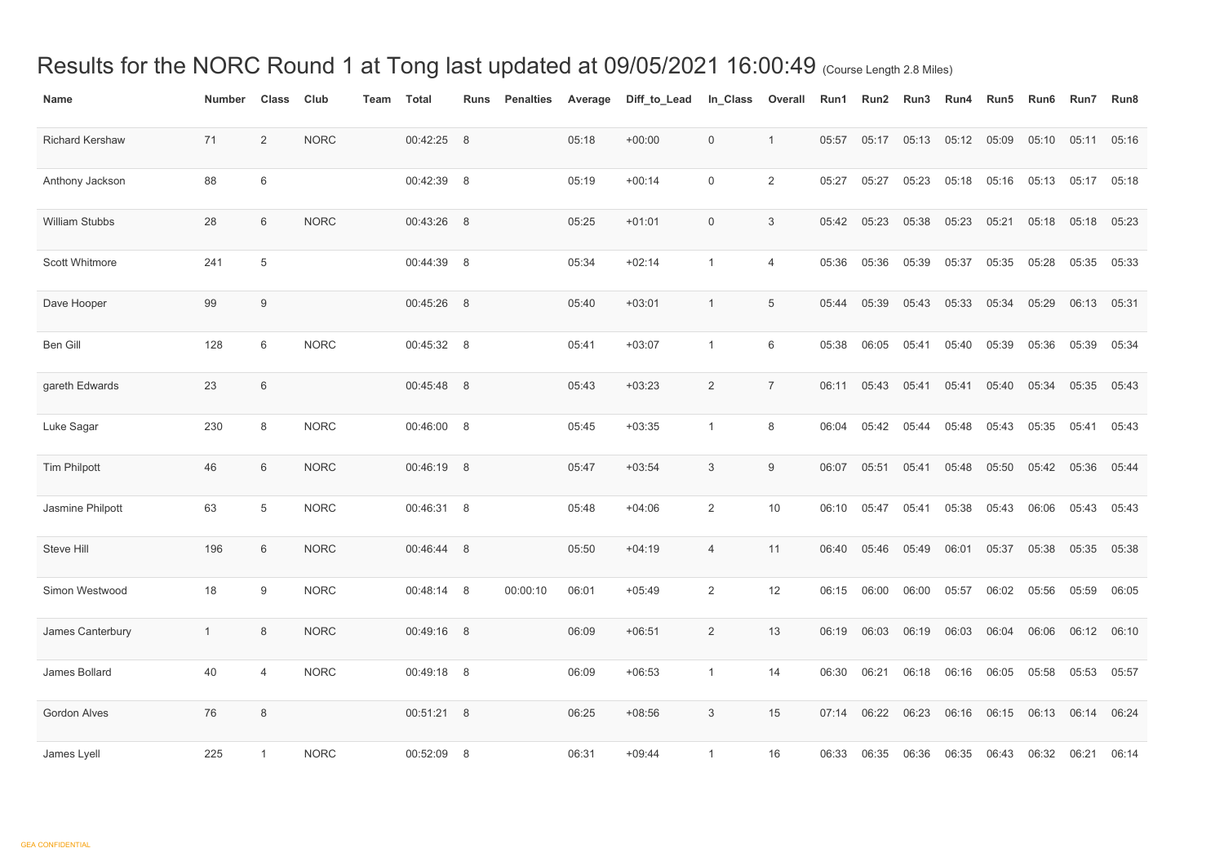## Results for the NORC Round 1 at Tong last updated at 09/05/2021 16:00:49 (Course Length 2.8 Miles)

| <b>Name</b>            | <b>Number</b> | <b>Class</b>   | Club        | <b>Team</b> | <b>Total</b> | <b>Runs</b> | <b>Penalties</b> | Average | Diff_to_Lead | In_Class         | <b>Overall</b> | Run1  | Run2  | Run <sub>3</sub> | Run4        | Run <sub>5</sub> | Run <sub>6</sub> | Run7                                                   | Run <sub>8</sub> |
|------------------------|---------------|----------------|-------------|-------------|--------------|-------------|------------------|---------|--------------|------------------|----------------|-------|-------|------------------|-------------|------------------|------------------|--------------------------------------------------------|------------------|
| <b>Richard Kershaw</b> | 71            | $\overline{2}$ | <b>NORC</b> |             | 00:42:25 8   |             |                  | 05:18   | $+00:00$     | $\overline{0}$   | $\mathbf{1}$   | 05:57 | 05:17 | 05:13            | 05:12       | 05:09            | 05:10            | 05:11                                                  | 05:16            |
| Anthony Jackson        | 88            | 6              |             |             | 00:42:39     | 8           |                  | 05:19   | $+00:14$     | $\overline{0}$   | $\overline{2}$ | 05:27 | 05:27 | 05:23            | 05:18       | 05:16            | 05:13            | 05:17                                                  | 05:18            |
| <b>William Stubbs</b>  | 28            | 6              | <b>NORC</b> |             | 00:43:26 8   |             |                  | 05:25   | $+01:01$     | $\boldsymbol{0}$ | $\mathfrak{S}$ | 05:42 | 05:23 | 05:38            | 05:23       | 05:21            | 05:18            | 05:18                                                  | 05:23            |
| <b>Scott Whitmore</b>  | 241           | 5              |             |             | 00:44:39 8   |             |                  | 05:34   | $+02:14$     | $\overline{1}$   | 4              | 05:36 | 05:36 | 05:39            | 05:37       | 05:35            | 05:28            | 05:35                                                  | 05:33            |
| Dave Hooper            | 99            | 9              |             |             | 00:45:26 8   |             |                  | 05:40   | $+03:01$     | -1               | $\overline{5}$ | 05:44 | 05:39 | 05:43            | 05:33       | 05:34            | 05:29            | 06:13                                                  | 05:31            |
| Ben Gill               | 128           | 6              | <b>NORC</b> |             | 00:45:32 8   |             |                  | 05:41   | $+03:07$     | $\mathbf{1}$     | 6              | 05:38 | 06:05 | 05:41            | 05:40       | 05:39            | 05:36            | 05:39                                                  | 05:34            |
| gareth Edwards         | 23            | $6\,$          |             |             | 00:45:48 8   |             |                  | 05:43   | $+03:23$     | $\overline{2}$   | $\overline{7}$ | 06:11 | 05:43 | 05:41            | 05:41       | 05:40            | 05:34            | 05:35                                                  | 05:43            |
| Luke Sagar             | 230           | 8              | <b>NORC</b> |             | 00:46:00 8   |             |                  | 05:45   | $+03:35$     | $\mathbf{1}$     | 8              | 06:04 | 05:42 | 05:44            | 05:48       | 05:43            | 05:35            | 05:41                                                  | 05:43            |
| <b>Tim Philpott</b>    | 46            | 6              | <b>NORC</b> |             | 00:46:19 8   |             |                  | 05:47   | $+03:54$     | 3                | 9              | 06:07 | 05:51 | 05:41            | 05:48       | 05:50            | 05:42            | 05:36                                                  | 05:44            |
| Jasmine Philpott       | 63            | 5              | <b>NORC</b> |             | 00:46:31     | 8           |                  | 05:48   | $+04:06$     | $\overline{2}$   | 10             | 06:10 | 05:47 | 05:41            | 05:38       | 05:43            | 06:06            | 05:43                                                  | 05:43            |
| Steve Hill             | 196           | 6              | <b>NORC</b> |             | 00:46:44 8   |             |                  | 05:50   | $+04:19$     | $\overline{4}$   | 11             |       |       |                  |             |                  |                  | 06:40  05:46  05:49  06:01  05:37  05:38  05:35  05:38 |                  |
| Simon Westwood         | 18            | 9              | <b>NORC</b> |             | 00:48:14 8   |             | 00:00:10         | 06:01   | $+05:49$     | $\overline{2}$   | 12             | 06:15 | 06:00 | 06:00            | 05:57       | 06:02            | 05:56            | 05:59                                                  | 06:05            |
| James Canterbury       | $\mathbf{1}$  | 8              | <b>NORC</b> |             | 00:49:16 8   |             |                  | 06:09   | $+06:51$     | $\overline{2}$   | 13             | 06:19 | 06:03 | 06:19            | 06:03       | 06:04            | 06:06            | 06:12 06:10                                            |                  |
| James Bollard          | 40            | 4              | <b>NORC</b> |             | 00:49:18 8   |             |                  | 06:09   | $+06:53$     | $\mathbf{1}$     | 14             | 06:30 | 06:21 | 06:18            | 06:16 06:05 |                  | 05:58            | 05:53                                                  | 05:57            |
| <b>Gordon Alves</b>    | 76            | 8              |             |             | 00:51:21 8   |             |                  | 06:25   | $+08:56$     | $\mathfrak 3$    | 15             | 07:14 | 06:22 | 06:23            | 06:16       | 06:15            |                  | 06:13 06:14                                            | 06:24            |
| James Lyell            | 225           |                | <b>NORC</b> |             | 00:52:09 8   |             |                  | 06:31   | $+09:44$     | $\mathbf{1}$     | 16             | 06:33 | 06:35 | 06:36            | 06:35       | 06:43            | 06:32            | 06:21                                                  | 06:14            |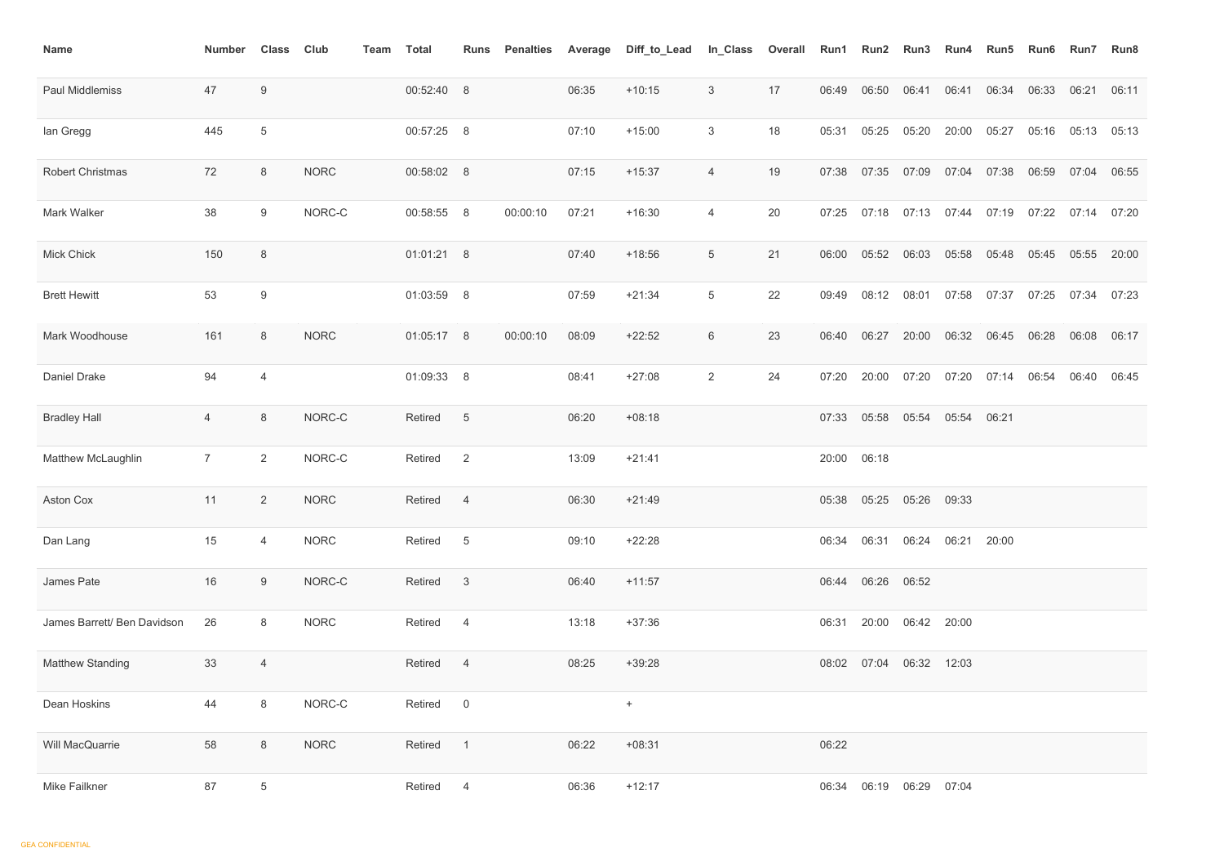| <b>Name</b>                 | <b>Number</b>  | <b>Class</b>     | <b>Club</b> | Team | <b>Total</b> | <b>Runs</b>     | <b>Penalties</b> | Average | Diff_to_Lead | In_Class       | <b>Overall</b> | Run1  | Run2                          | Run3  | Run4        | Run <sub>5</sub> | Run6  | <b>Run7</b> | Run8  |
|-----------------------------|----------------|------------------|-------------|------|--------------|-----------------|------------------|---------|--------------|----------------|----------------|-------|-------------------------------|-------|-------------|------------------|-------|-------------|-------|
| Paul Middlemiss             | 47             | 9                |             |      | 00:52:40 8   |                 |                  | 06:35   | $+10:15$     | $\mathfrak{S}$ | 17             | 06:49 | 06:50                         | 06:41 | 06:41       | 06:34            | 06:33 | 06:21       | 06:11 |
| lan Gregg                   | 445            | $\overline{5}$   |             |      | 00:57:25 8   |                 |                  | 07:10   | $+15:00$     | $\mathbf{3}$   | 18             | 05:31 | 05:25                         | 05:20 | 20:00       | 05:27            | 05:16 | 05:13       | 05:13 |
| <b>Robert Christmas</b>     | 72             | 8                | <b>NORC</b> |      | 00:58:02 8   |                 |                  | 07:15   | $+15:37$     | 4              | 19             | 07:38 | 07:35                         | 07:09 | 07:04       | 07:38            | 06:59 | 07:04       | 06:55 |
| Mark Walker                 | 38             | 9                | NORC-C      |      | 00:58:55 8   |                 | 00:00:10         | 07:21   | $+16:30$     | 4              | 20             | 07:25 | 07:18                         | 07:13 | 07:44       | 07:19            | 07:22 | 07:14       | 07:20 |
| <b>Mick Chick</b>           | 150            | 8                |             |      | 01:01:21 8   |                 |                  | 07:40   | $+18:56$     | 5              | 21             | 06:00 | 05:52                         | 06:03 | 05:58       | 05:48            | 05:45 | 05:55       | 20:00 |
| <b>Brett Hewitt</b>         | 53             | $\boldsymbol{9}$ |             |      | 01:03:59 8   |                 |                  | 07:59   | $+21:34$     | 5              | 22             | 09:49 | 08:12                         | 08:01 | 07:58       | 07:37            | 07:25 | 07:34       | 07:23 |
| Mark Woodhouse              | 161            | 8                | <b>NORC</b> |      | 01:05:17 8   |                 | 00:00:10         | 08:09   | $+22:52$     | 6              | 23             | 06:40 | 06:27                         | 20:00 | 06:32       | 06:45            | 06:28 | 06:08       | 06:17 |
| <b>Daniel Drake</b>         | 94             | 4                |             |      | 01:09:33 8   |                 |                  | 08:41   | $+27:08$     | $\overline{2}$ | 24             | 07:20 | 20:00                         | 07:20 | 07:20       | 07:14            | 06:54 | 06:40       | 06:45 |
| <b>Bradley Hall</b>         | 4              | 8                | NORC-C      |      | Retired      | $5\phantom{.0}$ |                  | 06:20   | $+08:18$     |                |                | 07:33 | 05:58                         | 05:54 | 05:54 06:21 |                  |       |             |       |
| Matthew McLaughlin          | $\overline{7}$ | $\overline{2}$   | NORC-C      |      | Retired      | 2               |                  | 13:09   | $+21:41$     |                |                | 20:00 | 06:18                         |       |             |                  |       |             |       |
| Aston Cox                   | $-11$          | $\overline{2}$   | <b>NORC</b> |      | Retired 4    |                 |                  | 06:30   | $+21:49$     |                |                |       | 05:38  05:25  05:26  09:33    |       |             |                  |       |             |       |
| Dan Lang                    | 15             | 4                | <b>NORC</b> |      | Retired 5    |                 |                  | 09:10   | $+22:28$     |                |                |       | 06:34 06:31 06:24 06:21 20:00 |       |             |                  |       |             |       |
| James Pate                  | 16             | 9                | NORC-C      |      | Retired 3    |                 |                  | 06:40   | $+11:57$     |                |                |       | 06:44 06:26 06:52             |       |             |                  |       |             |       |
| James Barrett/ Ben Davidson | 26             | 8                | <b>NORC</b> |      | Retired 4    |                 |                  | 13:18   | $+37:36$     |                |                |       | 06:31  20:00  06:42  20:00    |       |             |                  |       |             |       |
| <b>Matthew Standing</b>     | 33             | $\overline{4}$   |             |      | Retired 4    |                 |                  | 08:25   | $+39:28$     |                |                |       | 08:02 07:04 06:32 12:03       |       |             |                  |       |             |       |
| Dean Hoskins                | 44             | 8                | NORC-C      |      | Retired 0    |                 |                  |         | $+$          |                |                |       |                               |       |             |                  |       |             |       |
| Will MacQuarrie             | 58             | 8                | <b>NORC</b> |      | Retired      | $\overline{1}$  |                  | 06:22   | $+08:31$     |                |                | 06:22 |                               |       |             |                  |       |             |       |
| Mike Failkner               | 87             | $\overline{5}$   |             |      | Retired      | $\overline{4}$  |                  | 06:36   | $+12:17$     |                |                | 06:34 | 06:19                         | 06:29 | 07:04       |                  |       |             |       |